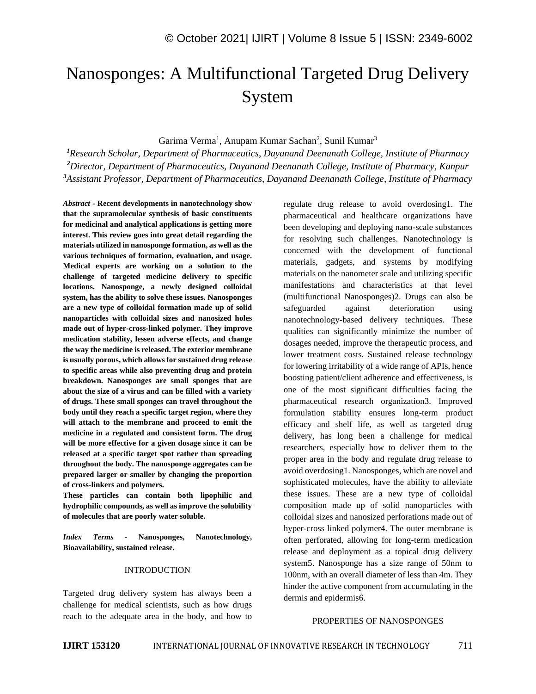# Nanosponges: A Multifunctional Targeted Drug Delivery System

Garima Verma<sup>1</sup>, Anupam Kumar Sachan<sup>2</sup>, Sunil Kumar<sup>3</sup>

*<sup>1</sup>Research Scholar, Department of Pharmaceutics, Dayanand Deenanath College, Institute of Pharmacy <sup>2</sup>Director, Department of Pharmaceutics, Dayanand Deenanath College, Institute of Pharmacy, Kanpur <sup>3</sup>Assistant Professor, Department of Pharmaceutics, Dayanand Deenanath College, Institute of Pharmacy*

*Abstract -* **Recent developments in nanotechnology show that the supramolecular synthesis of basic constituents for medicinal and analytical applications is getting more interest. This review goes into great detail regarding the materials utilized in nanosponge formation, as well as the various techniques of formation, evaluation, and usage. Medical experts are working on a solution to the challenge of targeted medicine delivery to specific locations. Nanosponge, a newly designed colloidal system, has the ability to solve these issues. Nanosponges are a new type of colloidal formation made up of solid nanoparticles with colloidal sizes and nanosized holes made out of hyper-cross-linked polymer. They improve medication stability, lessen adverse effects, and change the way the medicine is released. The exterior membrane is usually porous, which allows for sustained drug release to specific areas while also preventing drug and protein breakdown. Nanosponges are small sponges that are about the size of a virus and can be filled with a variety of drugs. These small sponges can travel throughout the body until they reach a specific target region, where they will attach to the membrane and proceed to emit the medicine in a regulated and consistent form. The drug will be more effective for a given dosage since it can be released at a specific target spot rather than spreading throughout the body. The nanosponge aggregates can be prepared larger or smaller by changing the proportion of cross-linkers and polymers.**

**These particles can contain both lipophilic and hydrophilic compounds, as well as improve the solubility of molecules that are poorly water soluble.**

*Index Terms -* **Nanosponges, Nanotechnology, Bioavailability, sustained release.**

#### INTRODUCTION

Targeted drug delivery system has always been a challenge for medical scientists, such as how drugs reach to the adequate area in the body, and how to regulate drug release to avoid overdosing1. The pharmaceutical and healthcare organizations have been developing and deploying nano-scale substances for resolving such challenges. Nanotechnology is concerned with the development of functional materials, gadgets, and systems by modifying materials on the nanometer scale and utilizing specific manifestations and characteristics at that level (multifunctional Nanosponges)2. Drugs can also be safeguarded against deterioration using nanotechnology-based delivery techniques. These qualities can significantly minimize the number of dosages needed, improve the therapeutic process, and lower treatment costs. Sustained release technology for lowering irritability of a wide range of APIs, hence boosting patient/client adherence and effectiveness, is one of the most significant difficulties facing the pharmaceutical research organization3. Improved formulation stability ensures long-term product efficacy and shelf life, as well as targeted drug delivery, has long been a challenge for medical researchers, especially how to deliver them to the proper area in the body and regulate drug release to avoid overdosing1. Nanosponges, which are novel and sophisticated molecules, have the ability to alleviate these issues. These are a new type of colloidal composition made up of solid nanoparticles with colloidal sizes and nanosized perforations made out of hyper-cross linked polymer4. The outer membrane is often perforated, allowing for long-term medication release and deployment as a topical drug delivery system5. Nanosponge has a size range of 50nm to 100nm, with an overall diameter of less than 4m. They hinder the active component from accumulating in the dermis and epidermis6.

## PROPERTIES OF NANOSPONGES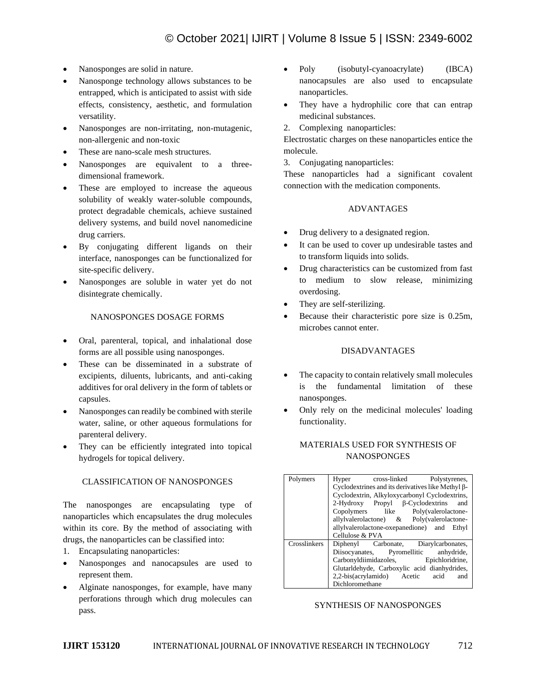- Nanosponges are solid in nature.
- Nanosponge technology allows substances to be entrapped, which is anticipated to assist with side effects, consistency, aesthetic, and formulation versatility.
- Nanosponges are non-irritating, non-mutagenic, non-allergenic and non-toxic
- These are nano-scale mesh structures.
- Nanosponges are equivalent to a threedimensional framework.
- These are employed to increase the aqueous solubility of weakly water-soluble compounds, protect degradable chemicals, achieve sustained delivery systems, and build novel nanomedicine drug carriers.
- By conjugating different ligands on their interface, nanosponges can be functionalized for site-specific delivery.
- Nanosponges are soluble in water yet do not disintegrate chemically.

#### NANOSPONGES DOSAGE FORMS

- Oral, parenteral, topical, and inhalational dose forms are all possible using nanosponges.
- These can be disseminated in a substrate of excipients, diluents, lubricants, and anti-caking additives for oral delivery in the form of tablets or capsules.
- Nanosponges can readily be combined with sterile water, saline, or other aqueous formulations for parenteral delivery.
- They can be efficiently integrated into topical hydrogels for topical delivery.

## CLASSIFICATION OF NANOSPONGES

The nanosponges are encapsulating type of nanoparticles which encapsulates the drug molecules within its core. By the method of associating with drugs, the nanoparticles can be classified into:

- 1. Encapsulating nanoparticles:
- Nanosponges and nanocapsules are used to represent them.
- Alginate nanosponges, for example, have many perforations through which drug molecules can pass.
- Poly (isobutyl-cyanoacrylate) (IBCA) nanocapsules are also used to encapsulate nanoparticles.
- They have a hydrophilic core that can entrap medicinal substances.
- 2. Complexing nanoparticles:

Electrostatic charges on these nanoparticles entice the molecule.

3. Conjugating nanoparticles:

These nanoparticles had a significant covalent connection with the medication components.

#### ADVANTAGES

- Drug delivery to a designated region.
- It can be used to cover up undesirable tastes and to transform liquids into solids.
- Drug characteristics can be customized from fast to medium to slow release, minimizing overdosing.
- They are self-sterilizing.
- Because their characteristic pore size is 0.25m, microbes cannot enter.

#### DISADVANTAGES

- The capacity to contain relatively small molecules is the fundamental limitation of these nanosponges.
- Only rely on the medicinal molecules' loading functionality.

## MATERIALS USED FOR SYNTHESIS OF **NANOSPONGES**

| Polymers     | Hyper cross-linked Polystyrenes,                  |  |  |  |
|--------------|---------------------------------------------------|--|--|--|
|              | Cyclodextrines and its derivatives like Methyl β- |  |  |  |
|              | Cyclodextrin, Alkyloxycarbonyl Cyclodextrins,     |  |  |  |
|              | $2-Hydroxy$ Propyl $\beta$ -Cyclodextrins<br>and  |  |  |  |
|              | Copolymers like Poly(valerolactone-               |  |  |  |
|              | allylvalerolactone) & Poly(valerolactone-         |  |  |  |
|              | allylvalerolactone-oxepanedione) and<br>Ethyl     |  |  |  |
|              | Cellulose & PVA                                   |  |  |  |
| Crosslinkers | Diphenyl Carbonate, Diarylcarbonates,             |  |  |  |
|              | Diisocyanates, Pyromellitic anhydride,            |  |  |  |
|              | Carbonyldiimidazoles, Epichloridrine,             |  |  |  |
|              | Glutarldehyde, Carboxylic acid dianhydrides,      |  |  |  |
|              | 2,2-bis(acrylamido) Acetic acid<br>and            |  |  |  |
|              | Dichloromethane                                   |  |  |  |

## SYNTHESIS OF NANOSPONGES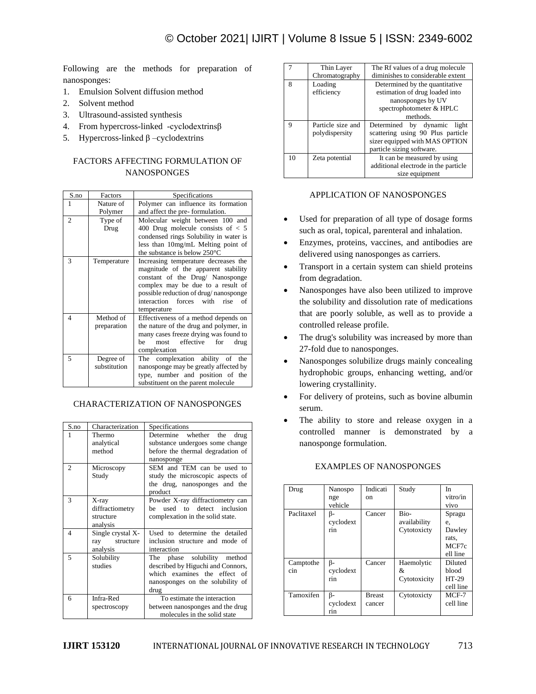Following are the methods for preparation of nanosponges:

- 1. Emulsion Solvent diffusion method
- 2. Solvent method
- 3. Ultrasound-assisted synthesis
- 4. From hypercross-linked -cyclodextrinsβ
- 5. Hypercross-linked β –cyclodextrins

# FACTORS AFFECTING FORMULATION OF **NANOSPONGES**

| S.no<br>Factors |              | Specifications                                                                                                                                                                                                                                        |  |
|-----------------|--------------|-------------------------------------------------------------------------------------------------------------------------------------------------------------------------------------------------------------------------------------------------------|--|
| 1               | Nature of    | Polymer can influence its formation                                                                                                                                                                                                                   |  |
|                 | Polymer      | and affect the pre-formulation.                                                                                                                                                                                                                       |  |
| 2               | Type of      | Molecular weight between 100 and                                                                                                                                                                                                                      |  |
|                 | Drug         | 400 Drug molecule consists of $< 5$                                                                                                                                                                                                                   |  |
|                 |              | condensed rings Solubility in water is                                                                                                                                                                                                                |  |
|                 |              | less than 10mg/mL Melting point of                                                                                                                                                                                                                    |  |
|                 |              | the substance is below $250^{\circ}$ C                                                                                                                                                                                                                |  |
| 3               | Temperature  | Increasing temperature decreases the<br>magnitude of the apparent stability<br>constant of the Drug/ Nanosponge<br>complex may be due to a result of<br>possible reduction of drug/nanosponge<br>interaction<br>forces with rise<br>of<br>temperature |  |
| 4               | Method of    | Effectiveness of a method depends on                                                                                                                                                                                                                  |  |
| preparation     |              | the nature of the drug and polymer, in                                                                                                                                                                                                                |  |
|                 |              | many cases freeze drying was found to                                                                                                                                                                                                                 |  |
|                 |              | effective<br>most<br>for<br>be<br>drug                                                                                                                                                                                                                |  |
|                 |              | complexation                                                                                                                                                                                                                                          |  |
| 5               | Degree of    | The complexation ability of the                                                                                                                                                                                                                       |  |
|                 | substitution | nanosponge may be greatly affected by                                                                                                                                                                                                                 |  |
|                 |              | type, number and position of the<br>substituent on the parent molecule                                                                                                                                                                                |  |
|                 |              |                                                                                                                                                                                                                                                       |  |

## CHARACTERIZATION OF NANOSPONGES

| S.no           | Characterization  | Specifications                    |  |  |
|----------------|-------------------|-----------------------------------|--|--|
| 1              | Thermo            | Determine whether the<br>drug     |  |  |
|                | analytical        | substance undergoes some change   |  |  |
|                | method            | before the thermal degradation of |  |  |
|                |                   | nanosponge                        |  |  |
| $\mathfrak{D}$ | Microscopy        | SEM and TEM can be used to        |  |  |
|                | Study             | study the microscopic aspects of  |  |  |
|                |                   | the drug, nanosponges and the     |  |  |
|                |                   | product                           |  |  |
| 3              | X-ray             | Powder X-ray diffractiometry can  |  |  |
|                | diffractiometry   | used to detect inclusion<br>he    |  |  |
|                | structure         | complexation in the solid state.  |  |  |
|                | analysis          |                                   |  |  |
| $\overline{4}$ | Single crystal X- | Used to determine the detailed    |  |  |
|                | ray structure     | inclusion structure and mode of   |  |  |
|                | analysis          | interaction                       |  |  |
| 5              | Solubility        | The phase solubility method       |  |  |
|                | studies           | described by Higuchi and Connors, |  |  |
|                |                   | which examines the effect of      |  |  |
|                |                   | nanosponges on the solubility of  |  |  |
|                |                   | drug                              |  |  |
| 6              | Infra-Red         | To estimate the interaction       |  |  |
|                | spectroscopy      | between nanosponges and the drug  |  |  |
|                |                   | molecules in the solid state      |  |  |

|             | Thin Layer                          | The Rf values of a drug molecule                                                                                                   |  |  |
|-------------|-------------------------------------|------------------------------------------------------------------------------------------------------------------------------------|--|--|
|             | Chromatography                      | diminishes to considerable extent                                                                                                  |  |  |
| 8           | Loading<br>efficiency               | Determined by the quantitative<br>estimation of drug loaded into<br>nanosponges by UV<br>spectrophotometer & HPLC<br>methods.      |  |  |
| $\mathbf Q$ | Particle size and<br>polydispersity | Determined by dynamic<br>light<br>scattering using 90 Plus particle<br>sizer equipped with MAS OPTION<br>particle sizing software. |  |  |
| 10          | Zeta potential                      | It can be measured by using<br>additional electrode in the particle<br>size equipment                                              |  |  |

## APPLICATION OF NANOSPONGES

- Used for preparation of all type of dosage forms such as oral, topical, parenteral and inhalation.
- Enzymes, proteins, vaccines, and antibodies are delivered using nanosponges as carriers.
- Transport in a certain system can shield proteins from degradation.
- Nanosponges have also been utilized to improve the solubility and dissolution rate of medications that are poorly soluble, as well as to provide a controlled release profile.
- The drug's solubility was increased by more than 27-fold due to nanosponges.
- Nanosponges solubilize drugs mainly concealing hydrophobic groups, enhancing wetting, and/or lowering crystallinity.
- For delivery of proteins, such as bovine albumin serum.
- The ability to store and release oxygen in a controlled manner is demonstrated by a nanosponge formulation.

| Drug       | Nanospo   | Indicati      | Study        | In        |
|------------|-----------|---------------|--------------|-----------|
|            | nge       | on            |              | vitro/in  |
|            | vehicle   |               |              | vivo      |
| Paclitaxel | B-        | Cancer        | Bio-         | Spragu    |
|            | cyclodext |               | availability | e,        |
|            | rin       |               | Cytotoxicty  | Dawley    |
|            |           |               |              | rats.     |
|            |           |               |              | MCF7c     |
|            |           |               |              | ell line  |
| Camptothe  | ß-        | Cancer        | Haemolytic   | Diluted   |
| cin        | cyclodext |               | &            | blood     |
|            | rin       |               | Cytotoxicity | HT-29     |
|            |           |               |              | cell line |
| Tamoxifen  | β-        | <b>Breast</b> | Cytotoxicty  | $MCF-7$   |
|            | cyclodext | cancer        |              | cell line |
|            | rin       |               |              |           |

## EXAMPLES OF NANOSPONGES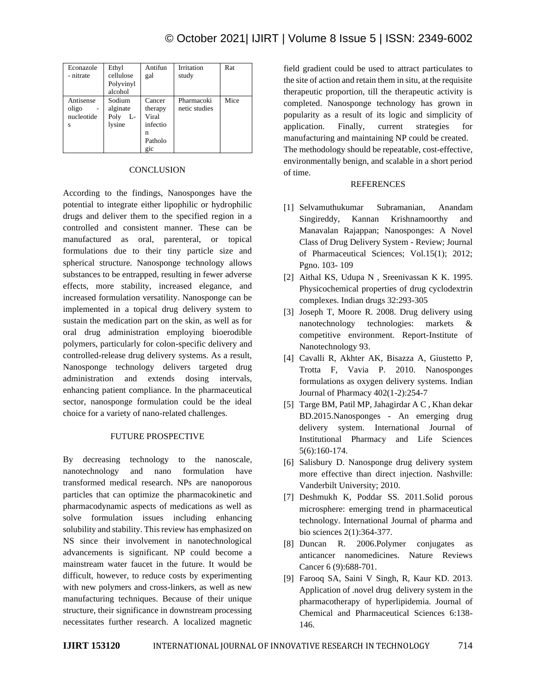| Econazole<br>- nitrate                                  | Ethyl<br>cellulose<br>Polyvinyl<br>alcohol | Antifun<br>gal                                                   | Irritation<br>study         | Rat  |
|---------------------------------------------------------|--------------------------------------------|------------------------------------------------------------------|-----------------------------|------|
| Antisense<br>oligo<br>$\overline{a}$<br>nucleotide<br>s | Sodium<br>alginate<br>Poly<br>L-<br>lysine | Cancer<br>therapy<br>Viral<br>infectio<br>n<br>Patholo<br>$q_1c$ | Pharmacoki<br>netic studies | Mice |

## **CONCLUSION**

According to the findings, Nanosponges have the potential to integrate either lipophilic or hydrophilic drugs and deliver them to the specified region in a controlled and consistent manner. These can be manufactured as oral, parenteral, or topical formulations due to their tiny particle size and spherical structure. Nanosponge technology allows substances to be entrapped, resulting in fewer adverse effects, more stability, increased elegance, and increased formulation versatility. Nanosponge can be implemented in a topical drug delivery system to sustain the medication part on the skin, as well as for oral drug administration employing bioerodible polymers, particularly for colon-specific delivery and controlled-release drug delivery systems. As a result, Nanosponge technology delivers targeted drug administration and extends dosing intervals, enhancing patient compliance. In the pharmaceutical sector, nanosponge formulation could be the ideal choice for a variety of nano-related challenges.

# FUTURE PROSPECTIVE

By decreasing technology to the nanoscale, nanotechnology and nano formulation have transformed medical research. NPs are nanoporous particles that can optimize the pharmacokinetic and pharmacodynamic aspects of medications as well as solve formulation issues including enhancing solubility and stability. This review has emphasized on NS since their involvement in nanotechnological advancements is significant. NP could become a mainstream water faucet in the future. It would be difficult, however, to reduce costs by experimenting with new polymers and cross-linkers, as well as new manufacturing techniques. Because of their unique structure, their significance in downstream processing necessitates further research. A localized magnetic

field gradient could be used to attract particulates to the site of action and retain them in situ, at the requisite therapeutic proportion, till the therapeutic activity is completed. Nanosponge technology has grown in popularity as a result of its logic and simplicity of application. Finally, current strategies for manufacturing and maintaining NP could be created. The methodology should be repeatable, cost-effective, environmentally benign, and scalable in a short period of time.

## REFERENCES

- [1] Selvamuthukumar Subramanian, Anandam Singireddy, Kannan Krishnamoorthy and Manavalan Rajappan; Nanosponges: A Novel Class of Drug Delivery System - Review; Journal of Pharmaceutical Sciences; Vol.15(1); 2012; Pgno. 103- 109
- [2] Aithal KS, Udupa N , Sreenivassan K K. 1995. Physicochemical properties of drug cyclodextrin complexes. Indian drugs 32:293-305
- [3] Joseph T, Moore R. 2008. Drug delivery using nanotechnology technologies: markets & competitive environment. Report-Institute of Nanotechnology 93.
- [4] Cavalli R, Akhter AK, Bisazza A, Giustetto P, Trotta F, Vavia P. 2010. Nanosponges formulations as oxygen delivery systems. Indian Journal of Pharmacy 402(1-2):254-7
- [5] Targe BM, Patil MP, Jahagirdar A C , Khan dekar BD.2015.Nanosponges - An emerging drug delivery system. International Journal of Institutional Pharmacy and Life Sciences 5(6):160-174.
- [6] Salisbury D. Nanosponge drug delivery system more effective than direct injection. Nashville: Vanderbilt University; 2010.
- [7] Deshmukh K, Poddar SS. 2011.Solid porous microsphere: emerging trend in pharmaceutical technology. International Journal of pharma and bio sciences 2(1):364-377.
- [8] Duncan R. 2006.Polymer conjugates as anticancer nanomedicines. Nature Reviews Cancer 6 (9):688-701.
- [9] Farooq SA, Saini V Singh, R, Kaur KD. 2013. Application of .novel drug delivery system in the pharmacotherapy of hyperlipidemia. Journal of Chemical and Pharmaceutical Sciences 6:138- 146.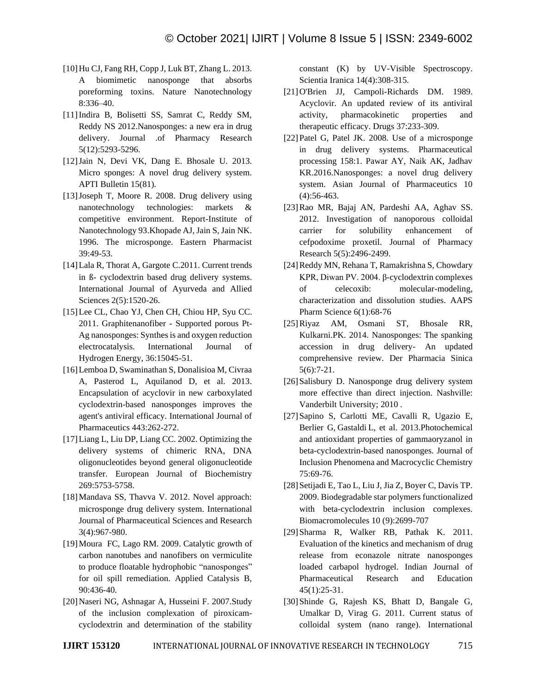- [10]Hu CJ, Fang RH, Copp J, Luk BT, Zhang L. 2013. A biomimetic nanosponge that absorbs poreforming toxins. Nature Nanotechnology 8:336–40.
- [11]Indira B, Bolisetti SS, Samrat C, Reddy SM, Reddy NS 2012.Nanosponges: a new era in drug delivery. Journal .of Pharmacy Research 5(12):5293-5296.
- [12]Jain N, Devi VK, Dang E. Bhosale U. 2013. Micro sponges: A novel drug delivery system. APTI Bulletin 15(81).
- [13]Joseph T, Moore R. 2008. Drug delivery using nanotechnology technologies: markets & competitive environment. Report-Institute of Nanotechnology 93.Khopade AJ, Jain S, Jain NK. 1996. The microsponge. Eastern Pharmacist 39:49-53.
- [14]Lala R, Thorat A, Gargote C.2011. Current trends in ß- cyclodextrin based drug delivery systems. International Journal of Ayurveda and Allied Sciences 2(5):1520-26.
- [15] Lee CL, Chao YJ, Chen CH, Chiou HP, Syu CC. 2011. Graphitenanofiber - Supported porous Pt-Ag nanosponges: Synthes is and oxygen reduction electrocatalysis. International Journal of Hydrogen Energy, 36:15045-51.
- [16]Lemboa D, Swaminathan S, Donalisioa M, Civraa A, Pasterod L, Aquilanod D, et al. 2013. Encapsulation of acyclovir in new carboxylated cyclodextrin-based nanosponges improves the agent's antiviral efficacy. International Journal of Pharmaceutics 443:262-272.
- [17]Liang L, Liu DP, Liang CC. 2002. Optimizing the delivery systems of chimeric RNA, DNA oligonucleotides beyond general oligonucleotide transfer. European Journal of Biochemistry 269:5753-5758.
- [18] Mandava SS, Thavva V. 2012. Novel approach: microsponge drug delivery system. International Journal of Pharmaceutical Sciences and Research 3(4):967-980.
- [19]Moura FC, Lago RM. 2009. Catalytic growth of carbon nanotubes and nanofibers on vermiculite to produce floatable hydrophobic "nanosponges" for oil spill remediation. Applied Catalysis B, 90:436-40.
- [20]Naseri NG, Ashnagar A, Husseini F. 2007.Study of the inclusion complexation of piroxicamcyclodextrin and determination of the stability

constant (K) by UV-Visible Spectroscopy. Scientia Iranica 14(4):308-315.

- [21]O'Brien JJ, Campoli-Richards DM. 1989. Acyclovir. An updated review of its antiviral activity, pharmacokinetic properties and therapeutic efficacy. Drugs 37:233-309.
- [22] Patel G, Patel JK. 2008. Use of a microsponge in drug delivery systems. Pharmaceutical processing 158:1. Pawar AY, Naik AK, Jadhav KR.2016.Nanosponges: a novel drug delivery system. Asian Journal of Pharmaceutics 10 (4):56-463.
- [23]Rao MR, Bajaj AN, Pardeshi AA, Aghav SS. 2012. Investigation of nanoporous colloidal carrier for solubility enhancement of cefpodoxime proxetil. Journal of Pharmacy Research 5(5):2496-2499.
- [24]Reddy MN, Rehana T, Ramakrishna S, Chowdary KPR, Diwan PV. 2004. β-cyclodextrin complexes of celecoxib: molecular-modeling, characterization and dissolution studies. AAPS Pharm Science 6(1):68-76
- [25]Riyaz AM, Osmani ST, Bhosale RR, Kulkarni.PK. 2014. Nanosponges: The spanking accession in drug delivery- An updated comprehensive review. Der Pharmacia Sinica 5(6):7-21.
- [26] Salisbury D. Nanosponge drug delivery system more effective than direct injection. Nashville: Vanderbilt University; 2010 .
- [27]Sapino S, Carlotti ME, Cavalli R, Ugazio E, Berlier G, Gastaldi L, et al. 2013.Photochemical and antioxidant properties of gammaoryzanol in beta-cyclodextrin-based nanosponges. Journal of Inclusion Phenomena and Macrocyclic Chemistry 75:69-76.
- [28] Setijadi E, Tao L, Liu J, Jia Z, Boyer C, Davis TP. 2009. Biodegradable star polymers functionalized with beta-cyclodextrin inclusion complexes. Biomacromolecules 10 (9):2699-707
- [29]Sharma R, Walker RB, Pathak K. 2011. Evaluation of the kinetics and mechanism of drug release from econazole nitrate nanosponges loaded carbapol hydrogel. Indian Journal of Pharmaceutical Research and Education 45(1):25-31.
- [30]Shinde G, Rajesh KS, Bhatt D, Bangale G, Umalkar D, Virag G. 2011. Current status of colloidal system (nano range). International